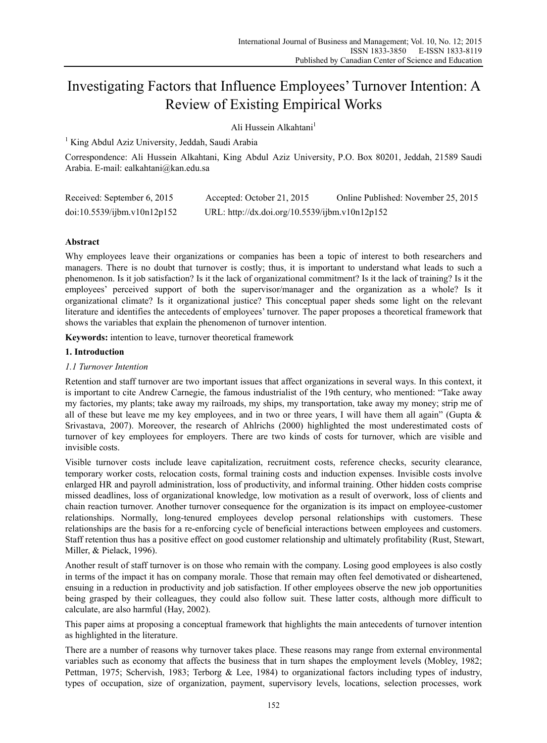# Investigating Factors that Influence Employees' Turnover Intention: A Review of Existing Empirical Works

Ali Hussein Alkahtani<sup>1</sup>

<sup>1</sup> King Abdul Aziz University, Jeddah, Saudi Arabia

Correspondence: Ali Hussein Alkahtani, King Abdul Aziz University, P.O. Box 80201, Jeddah, 21589 Saudi Arabia. E-mail: ealkahtani@kan.edu.sa

| Received: September 6, 2015 | Accepted: October 21, 2015                     | Online Published: November 25, 2015 |
|-----------------------------|------------------------------------------------|-------------------------------------|
| doi:10.5539/ijbm.v10n12p152 | URL: http://dx.doi.org/10.5539/ijbm.v10n12p152 |                                     |

## **Abstract**

Why employees leave their organizations or companies has been a topic of interest to both researchers and managers. There is no doubt that turnover is costly; thus, it is important to understand what leads to such a phenomenon. Is it job satisfaction? Is it the lack of organizational commitment? Is it the lack of training? Is it the employees' perceived support of both the supervisor/manager and the organization as a whole? Is it organizational climate? Is it organizational justice? This conceptual paper sheds some light on the relevant literature and identifies the antecedents of employees' turnover. The paper proposes a theoretical framework that shows the variables that explain the phenomenon of turnover intention.

**Keywords:** intention to leave, turnover theoretical framework

## **1. Introduction**

## *1.1 Turnover Intention*

Retention and staff turnover are two important issues that affect organizations in several ways. In this context, it is important to cite Andrew Carnegie, the famous industrialist of the 19th century, who mentioned: "Take away my factories, my plants; take away my railroads, my ships, my transportation, take away my money; strip me of all of these but leave me my key employees, and in two or three years, I will have them all again" (Gupta  $\&$ Srivastava, 2007). Moreover, the research of Ahlrichs (2000) highlighted the most underestimated costs of turnover of key employees for employers. There are two kinds of costs for turnover, which are visible and invisible costs.

Visible turnover costs include leave capitalization, recruitment costs, reference checks, security clearance, temporary worker costs, relocation costs, formal training costs and induction expenses. Invisible costs involve enlarged HR and payroll administration, loss of productivity, and informal training. Other hidden costs comprise missed deadlines, loss of organizational knowledge, low motivation as a result of overwork, loss of clients and chain reaction turnover. Another turnover consequence for the organization is its impact on employee-customer relationships. Normally, long-tenured employees develop personal relationships with customers. These relationships are the basis for a re-enforcing cycle of beneficial interactions between employees and customers. Staff retention thus has a positive effect on good customer relationship and ultimately profitability (Rust, Stewart, Miller, & Pielack, 1996).

Another result of staff turnover is on those who remain with the company. Losing good employees is also costly in terms of the impact it has on company morale. Those that remain may often feel demotivated or disheartened, ensuing in a reduction in productivity and job satisfaction. If other employees observe the new job opportunities being grasped by their colleagues, they could also follow suit. These latter costs, although more difficult to calculate, are also harmful (Hay, 2002).

This paper aims at proposing a conceptual framework that highlights the main antecedents of turnover intention as highlighted in the literature.

There are a number of reasons why turnover takes place. These reasons may range from external environmental variables such as economy that affects the business that in turn shapes the employment levels (Mobley, 1982; Pettman, 1975; Schervish, 1983; Terborg & Lee, 1984) to organizational factors including types of industry, types of occupation, size of organization, payment, supervisory levels, locations, selection processes, work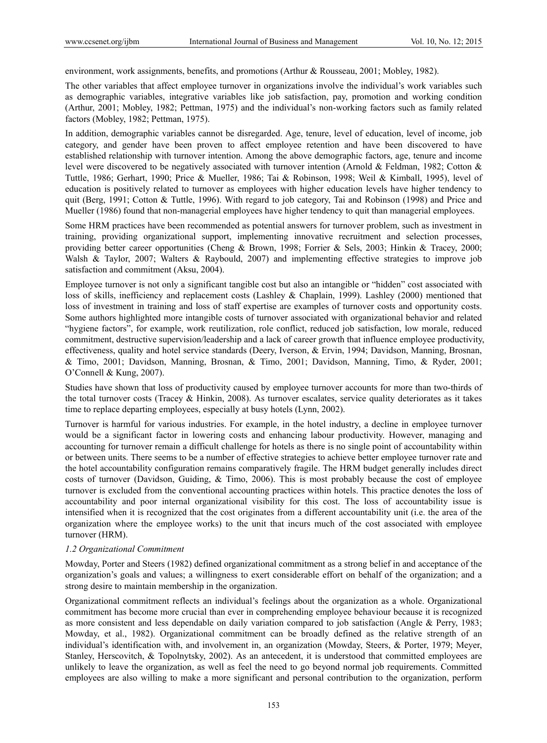environment, work assignments, benefits, and promotions (Arthur & Rousseau, 2001; Mobley, 1982).

The other variables that affect employee turnover in organizations involve the individual's work variables such as demographic variables, integrative variables like job satisfaction, pay, promotion and working condition (Arthur, 2001; Mobley, 1982; Pettman, 1975) and the individual's non-working factors such as family related factors (Mobley, 1982; Pettman, 1975).

In addition, demographic variables cannot be disregarded. Age, tenure, level of education, level of income, job category, and gender have been proven to affect employee retention and have been discovered to have established relationship with turnover intention. Among the above demographic factors, age, tenure and income level were discovered to be negatively associated with turnover intention (Arnold & Feldman, 1982; Cotton & Tuttle, 1986; Gerhart, 1990; Price & Mueller, 1986; Tai & Robinson, 1998; Weil & Kimball, 1995), level of education is positively related to turnover as employees with higher education levels have higher tendency to quit (Berg, 1991; Cotton & Tuttle, 1996). With regard to job category, Tai and Robinson (1998) and Price and Mueller (1986) found that non-managerial employees have higher tendency to quit than managerial employees.

Some HRM practices have been recommended as potential answers for turnover problem, such as investment in training, providing organizational support, implementing innovative recruitment and selection processes, providing better career opportunities (Cheng & Brown, 1998; Forrier & Sels, 2003; Hinkin & Tracey, 2000; Walsh & Taylor, 2007; Walters & Raybould, 2007) and implementing effective strategies to improve job satisfaction and commitment (Aksu, 2004).

Employee turnover is not only a significant tangible cost but also an intangible or "hidden" cost associated with loss of skills, inefficiency and replacement costs (Lashley & Chaplain, 1999). Lashley (2000) mentioned that loss of investment in training and loss of staff expertise are examples of turnover costs and opportunity costs. Some authors highlighted more intangible costs of turnover associated with organizational behavior and related "hygiene factors", for example, work reutilization, role conflict, reduced job satisfaction, low morale, reduced commitment, destructive supervision/leadership and a lack of career growth that influence employee productivity, effectiveness, quality and hotel service standards (Deery, Iverson, & Ervin, 1994; Davidson, Manning, Brosnan, & Timo, 2001; Davidson, Manning, Brosnan, & Timo, 2001; Davidson, Manning, Timo, & Ryder, 2001; O'Connell & Kung, 2007).

Studies have shown that loss of productivity caused by employee turnover accounts for more than two-thirds of the total turnover costs (Tracey & Hinkin, 2008). As turnover escalates, service quality deteriorates as it takes time to replace departing employees, especially at busy hotels (Lynn, 2002).

Turnover is harmful for various industries. For example, in the hotel industry, a decline in employee turnover would be a significant factor in lowering costs and enhancing labour productivity. However, managing and accounting for turnover remain a difficult challenge for hotels as there is no single point of accountability within or between units. There seems to be a number of effective strategies to achieve better employee turnover rate and the hotel accountability configuration remains comparatively fragile. The HRM budget generally includes direct costs of turnover (Davidson, Guiding, & Timo, 2006). This is most probably because the cost of employee turnover is excluded from the conventional accounting practices within hotels. This practice denotes the loss of accountability and poor internal organizational visibility for this cost. The loss of accountability issue is intensified when it is recognized that the cost originates from a different accountability unit (i.e. the area of the organization where the employee works) to the unit that incurs much of the cost associated with employee turnover (HRM).

#### *1.2 Organizational Commitment*

Mowday, Porter and Steers (1982) defined organizational commitment as a strong belief in and acceptance of the organization's goals and values; a willingness to exert considerable effort on behalf of the organization; and a strong desire to maintain membership in the organization.

Organizational commitment reflects an individual's feelings about the organization as a whole. Organizational commitment has become more crucial than ever in comprehending employee behaviour because it is recognized as more consistent and less dependable on daily variation compared to job satisfaction (Angle & Perry, 1983; Mowday, et al., 1982). Organizational commitment can be broadly defined as the relative strength of an individual's identification with, and involvement in, an organization (Mowday, Steers, & Porter, 1979; Meyer, Stanley, Herscovitch, & Topolnytsky, 2002). As an antecedent, it is understood that committed employees are unlikely to leave the organization, as well as feel the need to go beyond normal job requirements. Committed employees are also willing to make a more significant and personal contribution to the organization, perform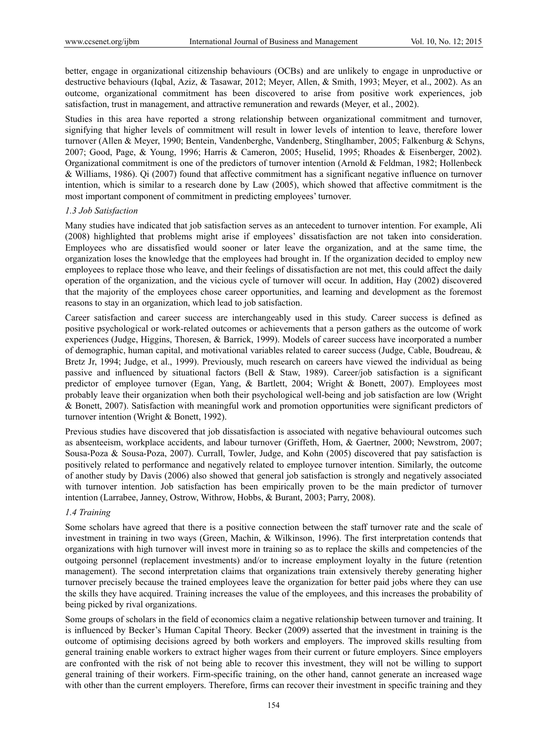better, engage in organizational citizenship behaviours (OCBs) and are unlikely to engage in unproductive or destructive behaviours (Iqbal, Aziz, & Tasawar, 2012; Meyer, Allen, & Smith, 1993; Meyer, et al., 2002). As an outcome, organizational commitment has been discovered to arise from positive work experiences, job satisfaction, trust in management, and attractive remuneration and rewards (Meyer, et al., 2002).

Studies in this area have reported a strong relationship between organizational commitment and turnover, signifying that higher levels of commitment will result in lower levels of intention to leave, therefore lower turnover (Allen & Meyer, 1990; Bentein, Vandenberghe, Vandenberg, Stinglhamber, 2005; Falkenburg & Schyns, 2007; Good, Page, & Young, 1996; Harris & Cameron, 2005; Huselid, 1995; Rhoades & Eisenberger, 2002). Organizational commitment is one of the predictors of turnover intention (Arnold & Feldman, 1982; Hollenbeck & Williams, 1986). Qi (2007) found that affective commitment has a significant negative influence on turnover intention, which is similar to a research done by Law (2005), which showed that affective commitment is the most important component of commitment in predicting employees' turnover.

### *1.3 Job Satisfaction*

Many studies have indicated that job satisfaction serves as an antecedent to turnover intention. For example, Ali (2008) highlighted that problems might arise if employees' dissatisfaction are not taken into consideration. Employees who are dissatisfied would sooner or later leave the organization, and at the same time, the organization loses the knowledge that the employees had brought in. If the organization decided to employ new employees to replace those who leave, and their feelings of dissatisfaction are not met, this could affect the daily operation of the organization, and the vicious cycle of turnover will occur. In addition, Hay (2002) discovered that the majority of the employees chose career opportunities, and learning and development as the foremost reasons to stay in an organization, which lead to job satisfaction.

Career satisfaction and career success are interchangeably used in this study. Career success is defined as positive psychological or work-related outcomes or achievements that a person gathers as the outcome of work experiences (Judge, Higgins, Thoresen, & Barrick, 1999). Models of career success have incorporated a number of demographic, human capital, and motivational variables related to career success (Judge, Cable, Boudreau, & Bretz Jr, 1994; Judge, et al., 1999). Previously, much research on careers have viewed the individual as being passive and influenced by situational factors (Bell & Staw, 1989). Career/job satisfaction is a significant predictor of employee turnover (Egan, Yang, & Bartlett, 2004; Wright & Bonett, 2007). Employees most probably leave their organization when both their psychological well-being and job satisfaction are low (Wright & Bonett, 2007). Satisfaction with meaningful work and promotion opportunities were significant predictors of turnover intention (Wright & Bonett, 1992).

Previous studies have discovered that job dissatisfaction is associated with negative behavioural outcomes such as absenteeism, workplace accidents, and labour turnover (Griffeth, Hom, & Gaertner, 2000; Newstrom, 2007; Sousa-Poza & Sousa-Poza, 2007). Currall, Towler, Judge, and Kohn (2005) discovered that pay satisfaction is positively related to performance and negatively related to employee turnover intention. Similarly, the outcome of another study by Davis (2006) also showed that general job satisfaction is strongly and negatively associated with turnover intention. Job satisfaction has been empirically proven to be the main predictor of turnover intention (Larrabee, Janney, Ostrow, Withrow, Hobbs, & Burant, 2003; Parry, 2008).

## *1.4 Training*

Some scholars have agreed that there is a positive connection between the staff turnover rate and the scale of investment in training in two ways (Green, Machin, & Wilkinson, 1996). The first interpretation contends that organizations with high turnover will invest more in training so as to replace the skills and competencies of the outgoing personnel (replacement investments) and/or to increase employment loyalty in the future (retention management). The second interpretation claims that organizations train extensively thereby generating higher turnover precisely because the trained employees leave the organization for better paid jobs where they can use the skills they have acquired. Training increases the value of the employees, and this increases the probability of being picked by rival organizations.

Some groups of scholars in the field of economics claim a negative relationship between turnover and training. It is influenced by Becker's Human Capital Theory. Becker (2009) asserted that the investment in training is the outcome of optimising decisions agreed by both workers and employers. The improved skills resulting from general training enable workers to extract higher wages from their current or future employers. Since employers are confronted with the risk of not being able to recover this investment, they will not be willing to support general training of their workers. Firm-specific training, on the other hand, cannot generate an increased wage with other than the current employers. Therefore, firms can recover their investment in specific training and they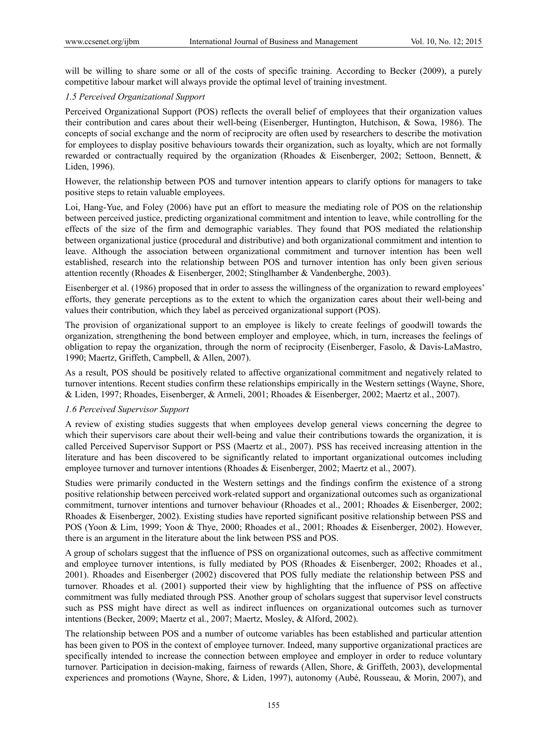will be willing to share some or all of the costs of specific training. According to Becker (2009), a purely competitive labour market will always provide the optimal level of training investment.

## *1.5 Perceived Organizational Support*

Perceived Organizational Support (POS) reflects the overall belief of employees that their organization values their contribution and cares about their well-being (Eisenberger, Huntington, Hutchison, & Sowa, 1986). The concepts of social exchange and the norm of reciprocity are often used by researchers to describe the motivation for employees to display positive behaviours towards their organization, such as loyalty, which are not formally rewarded or contractually required by the organization (Rhoades & Eisenberger, 2002; Settoon, Bennett, & Liden, 1996).

However, the relationship between POS and turnover intention appears to clarify options for managers to take positive steps to retain valuable employees.

Loi, Hang-Yue, and Foley (2006) have put an effort to measure the mediating role of POS on the relationship between perceived justice, predicting organizational commitment and intention to leave, while controlling for the effects of the size of the firm and demographic variables. They found that POS mediated the relationship between organizational justice (procedural and distributive) and both organizational commitment and intention to leave. Although the association between organizational commitment and turnover intention has been well established, research into the relationship between POS and turnover intention has only been given serious attention recently (Rhoades & Eisenberger, 2002; Stinglhamber & Vandenberghe, 2003).

Eisenberger et al. (1986) proposed that in order to assess the willingness of the organization to reward employees' efforts, they generate perceptions as to the extent to which the organization cares about their well-being and values their contribution, which they label as perceived organizational support (POS).

The provision of organizational support to an employee is likely to create feelings of goodwill towards the organization, strengthening the bond between employer and employee, which, in turn, increases the feelings of obligation to repay the organization, through the norm of reciprocity (Eisenberger, Fasolo, & Davis-LaMastro, 1990; Maertz, Griffeth, Campbell, & Allen, 2007).

As a result, POS should be positively related to affective organizational commitment and negatively related to turnover intentions. Recent studies confirm these relationships empirically in the Western settings (Wayne, Shore, & Liden, 1997; Rhoades, Eisenberger, & Armeli, 2001; Rhoades & Eisenberger, 2002; Maertz et al., 2007).

## *1.6 Perceived Supervisor Support*

A review of existing studies suggests that when employees develop general views concerning the degree to which their supervisors care about their well-being and value their contributions towards the organization, it is called Perceived Supervisor Support or PSS (Maertz et al., 2007). PSS has received increasing attention in the literature and has been discovered to be significantly related to important organizational outcomes including employee turnover and turnover intentions (Rhoades & Eisenberger, 2002; Maertz et al., 2007).

Studies were primarily conducted in the Western settings and the findings confirm the existence of a strong positive relationship between perceived work-related support and organizational outcomes such as organizational commitment, turnover intentions and turnover behaviour (Rhoades et al., 2001; Rhoades & Eisenberger, 2002; Rhoades & Eisenberger, 2002). Existing studies have reported significant positive relationship between PSS and POS (Yoon & Lim, 1999; Yoon & Thye, 2000; Rhoades et al., 2001; Rhoades & Eisenberger, 2002). However, there is an argument in the literature about the link between PSS and POS.

A group of scholars suggest that the influence of PSS on organizational outcomes, such as affective commitment and employee turnover intentions, is fully mediated by POS (Rhoades & Eisenberger, 2002; Rhoades et al., 2001). Rhoades and Eisenberger (2002) discovered that POS fully mediate the relationship between PSS and turnover. Rhoades et al. (2001) supported their view by highlighting that the influence of PSS on affective commitment was fully mediated through PSS. Another group of scholars suggest that supervisor level constructs such as PSS might have direct as well as indirect influences on organizational outcomes such as turnover intentions (Becker, 2009; Maertz et al., 2007; Maertz, Mosley, & Alford, 2002).

The relationship between POS and a number of outcome variables has been established and particular attention has been given to POS in the context of employee turnover. Indeed, many supportive organizational practices are specifically intended to increase the connection between employee and employer in order to reduce voluntary turnover. Participation in decision-making, fairness of rewards (Allen, Shore, & Griffeth, 2003), developmental experiences and promotions (Wayne, Shore, & Liden, 1997), autonomy (Aubé, Rousseau, & Morin, 2007), and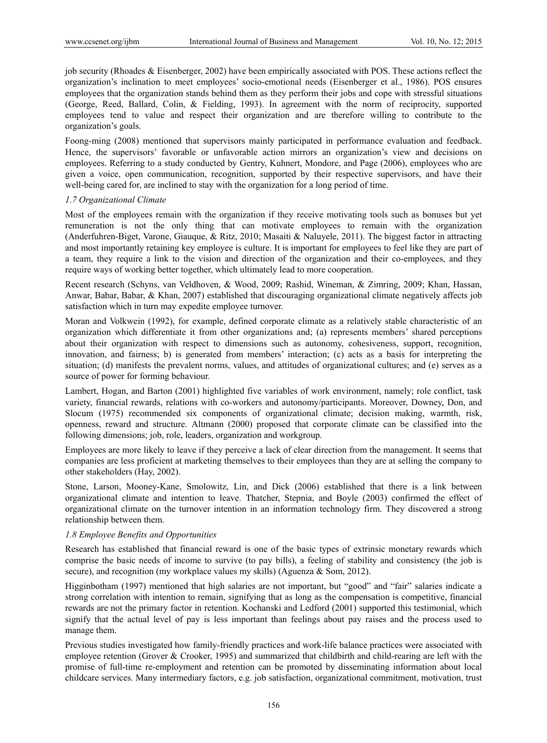job security (Rhoades & Eisenberger, 2002) have been empirically associated with POS. These actions reflect the organization's inclination to meet employees' socio-emotional needs (Eisenberger et al., 1986). POS ensures employees that the organization stands behind them as they perform their jobs and cope with stressful situations (George, Reed, Ballard, Colin, & Fielding, 1993). In agreement with the norm of reciprocity, supported employees tend to value and respect their organization and are therefore willing to contribute to the organization's goals.

Foong-ming (2008) mentioned that supervisors mainly participated in performance evaluation and feedback. Hence, the supervisors' favorable or unfavorable action mirrors an organization's view and decisions on employees. Referring to a study conducted by Gentry, Kuhnert, Mondore, and Page (2006), employees who are given a voice, open communication, recognition, supported by their respective supervisors, and have their well-being cared for, are inclined to stay with the organization for a long period of time.

## *1.7 Organizational Climate*

Most of the employees remain with the organization if they receive motivating tools such as bonuses but yet remuneration is not the only thing that can motivate employees to remain with the organization (Anderfuhren-Biget, Varone, Giauque, & Ritz, 2010; Masaiti & Naluyele, 2011). The biggest factor in attracting and most importantly retaining key employee is culture. It is important for employees to feel like they are part of a team, they require a link to the vision and direction of the organization and their co-employees, and they require ways of working better together, which ultimately lead to more cooperation.

Recent research (Schyns, van Veldhoven, & Wood, 2009; Rashid, Wineman, & Zimring, 2009; Khan, Hassan, Anwar, Babar, Babar, & Khan, 2007) established that discouraging organizational climate negatively affects job satisfaction which in turn may expedite employee turnover.

Moran and Volkwein (1992), for example, defined corporate climate as a relatively stable characteristic of an organization which differentiate it from other organizations and; (a) represents members' shared perceptions about their organization with respect to dimensions such as autonomy, cohesiveness, support, recognition, innovation, and fairness; b) is generated from members' interaction; (c) acts as a basis for interpreting the situation; (d) manifests the prevalent norms, values, and attitudes of organizational cultures; and (e) serves as a source of power for forming behaviour.

Lambert, Hogan, and Barton (2001) highlighted five variables of work environment, namely; role conflict, task variety, financial rewards, relations with co-workers and autonomy/participants. Moreover, Downey, Don, and Slocum (1975) recommended six components of organizational climate; decision making, warmth, risk, openness, reward and structure. Altmann (2000) proposed that corporate climate can be classified into the following dimensions; job, role, leaders, organization and workgroup.

Employees are more likely to leave if they perceive a lack of clear direction from the management. It seems that companies are less proficient at marketing themselves to their employees than they are at selling the company to other stakeholders (Hay, 2002).

Stone, Larson, Mooney-Kane, Smolowitz, Lin, and Dick (2006) established that there is a link between organizational climate and intention to leave. Thatcher, Stepnia, and Boyle (2003) confirmed the effect of organizational climate on the turnover intention in an information technology firm. They discovered a strong relationship between them.

#### *1.8 Employee Benefits and Opportunities*

Research has established that financial reward is one of the basic types of extrinsic monetary rewards which comprise the basic needs of income to survive (to pay bills), a feeling of stability and consistency (the job is secure), and recognition (my workplace values my skills) (Aguenza  $&$  Som, 2012).

Higginbotham (1997) mentioned that high salaries are not important, but "good" and "fair" salaries indicate a strong correlation with intention to remain, signifying that as long as the compensation is competitive, financial rewards are not the primary factor in retention. Kochanski and Ledford (2001) supported this testimonial, which signify that the actual level of pay is less important than feelings about pay raises and the process used to manage them.

Previous studies investigated how family-friendly practices and work-life balance practices were associated with employee retention (Grover & Crooker, 1995) and summarized that childbirth and child-rearing are left with the promise of full-time re-employment and retention can be promoted by disseminating information about local childcare services. Many intermediary factors, e.g. job satisfaction, organizational commitment, motivation, trust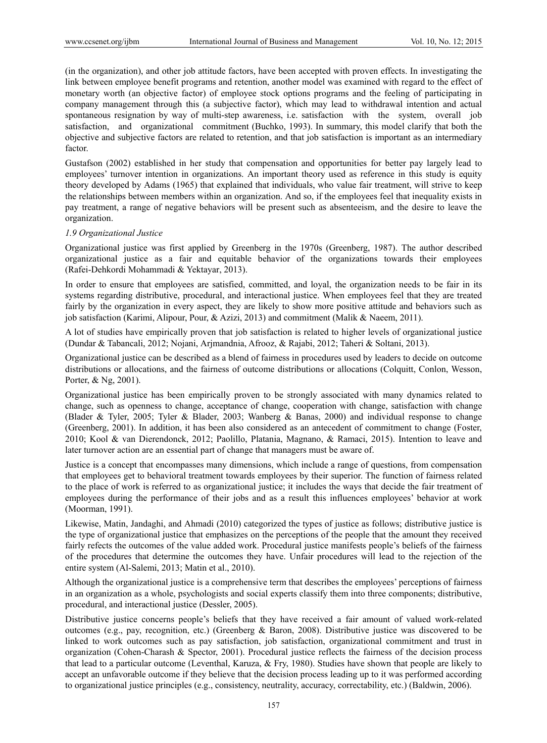(in the organization), and other job attitude factors, have been accepted with proven effects. In investigating the link between employee benefit programs and retention, another model was examined with regard to the effect of monetary worth (an objective factor) of employee stock options programs and the feeling of participating in company management through this (a subjective factor), which may lead to withdrawal intention and actual spontaneous resignation by way of multi-step awareness, i.e. satisfaction with the system, overall job satisfaction, and organizational commitment (Buchko, 1993). In summary, this model clarify that both the objective and subjective factors are related to retention, and that job satisfaction is important as an intermediary factor.

Gustafson (2002) established in her study that compensation and opportunities for better pay largely lead to employees' turnover intention in organizations. An important theory used as reference in this study is equity theory developed by Adams (1965) that explained that individuals, who value fair treatment, will strive to keep the relationships between members within an organization. And so, if the employees feel that inequality exists in pay treatment, a range of negative behaviors will be present such as absenteeism, and the desire to leave the organization.

## *1.9 Organizational Justice*

Organizational justice was first applied by Greenberg in the 1970s (Greenberg, 1987). The author described organizational justice as a fair and equitable behavior of the organizations towards their employees (Rafei-Dehkordi Mohammadi & Yektayar, 2013).

In order to ensure that employees are satisfied, committed, and loyal, the organization needs to be fair in its systems regarding distributive, procedural, and interactional justice. When employees feel that they are treated fairly by the organization in every aspect, they are likely to show more positive attitude and behaviors such as job satisfaction (Karimi, Alipour, Pour, & Azizi, 2013) and commitment (Malik & Naeem, 2011).

A lot of studies have empirically proven that job satisfaction is related to higher levels of organizational justice (Dundar & Tabancali, 2012; Nojani, Arjmandnia, Afrooz, & Rajabi, 2012; Taheri & Soltani, 2013).

Organizational justice can be described as a blend of fairness in procedures used by leaders to decide on outcome distributions or allocations, and the fairness of outcome distributions or allocations (Colquitt, Conlon, Wesson, Porter, & Ng, 2001).

Organizational justice has been empirically proven to be strongly associated with many dynamics related to change, such as openness to change, acceptance of change, cooperation with change, satisfaction with change (Blader & Tyler, 2005; Tyler & Blader, 2003; Wanberg & Banas, 2000) and individual response to change (Greenberg, 2001). In addition, it has been also considered as an antecedent of commitment to change (Foster, 2010; Kool & van Dierendonck, 2012; Paolillo, Platania, Magnano, & Ramaci, 2015). Intention to leave and later turnover action are an essential part of change that managers must be aware of.

Justice is a concept that encompasses many dimensions, which include a range of questions, from compensation that employees get to behavioral treatment towards employees by their superior. The function of fairness related to the place of work is referred to as organizational justice; it includes the ways that decide the fair treatment of employees during the performance of their jobs and as a result this influences employees' behavior at work (Moorman, 1991).

Likewise, Matin, Jandaghi, and Ahmadi (2010) categorized the types of justice as follows; distributive justice is the type of organizational justice that emphasizes on the perceptions of the people that the amount they received fairly refects the outcomes of the value added work. Procedural justice manifests people's beliefs of the fairness of the procedures that determine the outcomes they have. Unfair procedures will lead to the rejection of the entire system (Al-Salemi, 2013; Matin et al., 2010).

Although the organizational justice is a comprehensive term that describes the employees' perceptions of fairness in an organization as a whole, psychologists and social experts classify them into three components; distributive, procedural, and interactional justice (Dessler, 2005).

Distributive justice concerns people's beliefs that they have received a fair amount of valued work-related outcomes (e.g., pay, recognition, etc.) (Greenberg & Baron, 2008). Distributive justice was discovered to be linked to work outcomes such as pay satisfaction, job satisfaction, organizational commitment and trust in organization (Cohen-Charash & Spector, 2001). Procedural justice reflects the fairness of the decision process that lead to a particular outcome (Leventhal, Karuza, & Fry, 1980). Studies have shown that people are likely to accept an unfavorable outcome if they believe that the decision process leading up to it was performed according to organizational justice principles (e.g., consistency, neutrality, accuracy, correctability, etc.) (Baldwin, 2006).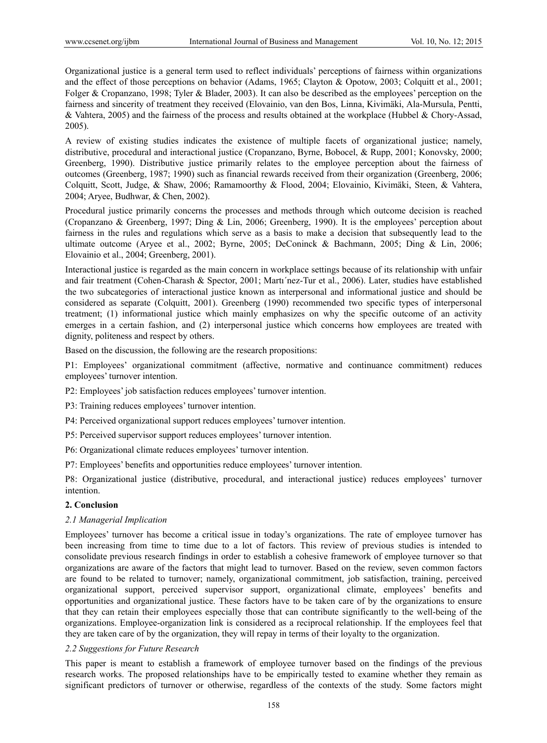Organizational justice is a general term used to reflect individuals' perceptions of fairness within organizations and the effect of those perceptions on behavior (Adams, 1965; Clayton & Opotow, 2003; Colquitt et al., 2001; Folger & Cropanzano, 1998; Tyler & Blader, 2003). It can also be described as the employees' perception on the fairness and sincerity of treatment they received (Elovainio, van den Bos, Linna, Kivimäki, Ala-Mursula, Pentti, & Vahtera, 2005) and the fairness of the process and results obtained at the workplace (Hubbel & Chory-Assad, 2005).

A review of existing studies indicates the existence of multiple facets of organizational justice; namely, distributive, procedural and interactional justice (Cropanzano, Byrne, Bobocel, & Rupp, 2001; Konovsky, 2000; Greenberg, 1990). Distributive justice primarily relates to the employee perception about the fairness of outcomes (Greenberg, 1987; 1990) such as financial rewards received from their organization (Greenberg, 2006; Colquitt, Scott, Judge, & Shaw, 2006; Ramamoorthy & Flood, 2004; Elovainio, Kivimäki, Steen, & Vahtera, 2004; Aryee, Budhwar, & Chen, 2002).

Procedural justice primarily concerns the processes and methods through which outcome decision is reached (Cropanzano & Greenberg, 1997; Ding & Lin, 2006; Greenberg, 1990). It is the employees' perception about fairness in the rules and regulations which serve as a basis to make a decision that subsequently lead to the ultimate outcome (Aryee et al., 2002; Byrne, 2005; DeConinck & Bachmann, 2005; Ding & Lin, 2006; Elovainio et al., 2004; Greenberg, 2001).

Interactional justice is regarded as the main concern in workplace settings because of its relationship with unfair and fair treatment (Cohen-Charash & Spector, 2001; Martı´nez-Tur et al., 2006). Later, studies have established the two subcategories of interactional justice known as interpersonal and informational justice and should be considered as separate (Colquitt, 2001). Greenberg (1990) recommended two specific types of interpersonal treatment; (1) informational justice which mainly emphasizes on why the specific outcome of an activity emerges in a certain fashion, and (2) interpersonal justice which concerns how employees are treated with dignity, politeness and respect by others.

Based on the discussion, the following are the research propositions:

P1: Employees' organizational commitment (affective, normative and continuance commitment) reduces employees' turnover intention.

P2: Employees' job satisfaction reduces employees' turnover intention.

P3: Training reduces employees' turnover intention.

P4: Perceived organizational support reduces employees' turnover intention.

P5: Perceived supervisor support reduces employees' turnover intention.

P6: Organizational climate reduces employees' turnover intention.

P7: Employees' benefits and opportunities reduce employees' turnover intention.

P8: Organizational justice (distributive, procedural, and interactional justice) reduces employees' turnover intention.

#### **2. Conclusion**

## *2.1 Managerial Implication*

Employees' turnover has become a critical issue in today's organizations. The rate of employee turnover has been increasing from time to time due to a lot of factors. This review of previous studies is intended to consolidate previous research findings in order to establish a cohesive framework of employee turnover so that organizations are aware of the factors that might lead to turnover. Based on the review, seven common factors are found to be related to turnover; namely, organizational commitment, job satisfaction, training, perceived organizational support, perceived supervisor support, organizational climate, employees' benefits and opportunities and organizational justice. These factors have to be taken care of by the organizations to ensure that they can retain their employees especially those that can contribute significantly to the well-being of the organizations. Employee-organization link is considered as a reciprocal relationship. If the employees feel that they are taken care of by the organization, they will repay in terms of their loyalty to the organization.

## *2.2 Suggestions for Future Research*

This paper is meant to establish a framework of employee turnover based on the findings of the previous research works. The proposed relationships have to be empirically tested to examine whether they remain as significant predictors of turnover or otherwise, regardless of the contexts of the study. Some factors might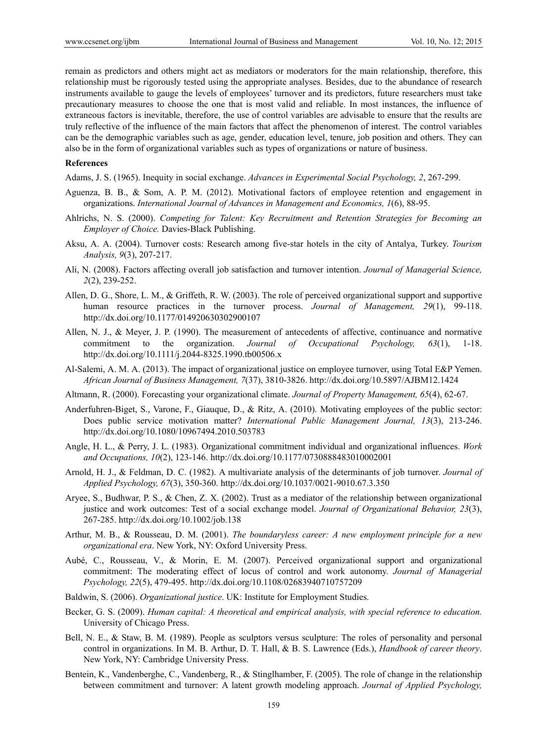remain as predictors and others might act as mediators or moderators for the main relationship, therefore, this relationship must be rigorously tested using the appropriate analyses. Besides, due to the abundance of research instruments available to gauge the levels of employees' turnover and its predictors, future researchers must take precautionary measures to choose the one that is most valid and reliable. In most instances, the influence of extraneous factors is inevitable, therefore, the use of control variables are advisable to ensure that the results are truly reflective of the influence of the main factors that affect the phenomenon of interest. The control variables can be the demographic variables such as age, gender, education level, tenure, job position and others. They can also be in the form of organizational variables such as types of organizations or nature of business.

## **References**

Adams, J. S. (1965). Inequity in social exchange. *Advances in Experimental Social Psychology, 2*, 267-299.

- Aguenza, B. B., & Som, A. P. M. (2012). Motivational factors of employee retention and engagement in organizations. *International Journal of Advances in Management and Economics, 1*(6), 88-95.
- Ahlrichs, N. S. (2000). *Competing for Talent: Key Recruitment and Retention Strategies for Becoming an Employer of Choice.* Davies-Black Publishing.
- Aksu, A. A. (2004). Turnover costs: Research among five-star hotels in the city of Antalya, Turkey. *Tourism Analysis, 9*(3), 207-217.
- Ali, N. (2008). Factors affecting overall job satisfaction and turnover intention. *Journal of Managerial Science, 2*(2), 239-252.
- Allen, D. G., Shore, L. M., & Griffeth, R. W. (2003). The role of perceived organizational support and supportive human resource practices in the turnover process. *Journal of Management, 29*(1), 99-118. http://dx.doi.org/10.1177/014920630302900107
- Allen, N. J., & Meyer, J. P. (1990). The measurement of antecedents of affective, continuance and normative commitment to the organization. *Journal of Occupational Psychology, 63*(1), 1-18. http://dx.doi.org/10.1111/j.2044-8325.1990.tb00506.x
- Al-Salemi, A. M. A. (2013). The impact of organizational justice on employee turnover, using Total E&P Yemen. *African Journal of Business Management, 7*(37), 3810-3826. http://dx.doi.org/10.5897/AJBM12.1424
- Altmann, R. (2000). Forecasting your organizational climate. *Journal of Property Management, 65*(4), 62-67.
- Anderfuhren-Biget, S., Varone, F., Giauque, D., & Ritz, A. (2010). Motivating employees of the public sector: Does public service motivation matter? *International Public Management Journal, 13*(3), 213-246. http://dx.doi.org/10.1080/10967494.2010.503783
- Angle, H. L., & Perry, J. L. (1983). Organizational commitment individual and organizational influences. *Work and Occupations, 10*(2), 123-146. http://dx.doi.org/10.1177/0730888483010002001
- Arnold, H. J., & Feldman, D. C. (1982). A multivariate analysis of the determinants of job turnover. *Journal of Applied Psychology, 67*(3), 350-360. http://dx.doi.org/10.1037/0021-9010.67.3.350
- Aryee, S., Budhwar, P. S., & Chen, Z. X. (2002). Trust as a mediator of the relationship between organizational justice and work outcomes: Test of a social exchange model. *Journal of Organizational Behavior, 23*(3), 267-285. http://dx.doi.org/10.1002/job.138
- Arthur, M. B., & Rousseau, D. M. (2001). *The boundaryless career: A new employment principle for a new organizational era*. New York, NY: Oxford University Press.
- Aubé, C., Rousseau, V., & Morin, E. M. (2007). Perceived organizational support and organizational commitment: The moderating effect of locus of control and work autonomy. *Journal of Managerial Psychology, 22*(5), 479-495. http://dx.doi.org/10.1108/02683940710757209
- Baldwin, S. (2006). *Organizational justice*. UK: Institute for Employment Studies.
- Becker, G. S. (2009). *Human capital: A theoretical and empirical analysis, with special reference to education.* University of Chicago Press.
- Bell, N. E., & Staw, B. M. (1989). People as sculptors versus sculpture: The roles of personality and personal control in organizations. In M. B. Arthur, D. T. Hall, & B. S. Lawrence (Eds.), *Handbook of career theory*. New York, NY: Cambridge University Press.
- Bentein, K., Vandenberghe, C., Vandenberg, R., & Stinglhamber, F. (2005). The role of change in the relationship between commitment and turnover: A latent growth modeling approach. *Journal of Applied Psychology,*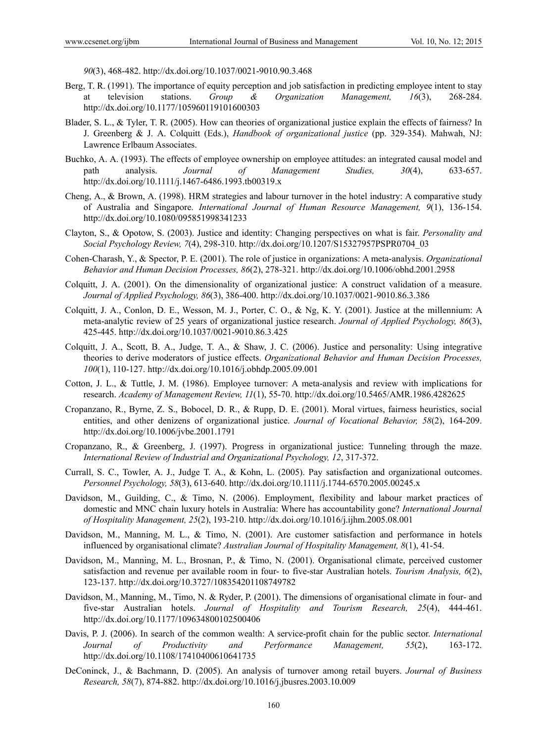*90*(3), 468-482. http://dx.doi.org/10.1037/0021-9010.90.3.468

- Berg, T. R. (1991). The importance of equity perception and job satisfaction in predicting employee intent to stay at television stations. *Group & Organization Management, 16*(3), 268-284. http://dx.doi.org/10.1177/105960119101600303
- Blader, S. L., & Tyler, T. R. (2005). How can theories of organizational justice explain the effects of fairness? In J. Greenberg & J. A. Colquitt (Eds.), *Handbook of organizational justice* (pp. 329-354). Mahwah, NJ: Lawrence Erlbaum Associates.
- Buchko, A. A. (1993). The effects of employee ownership on employee attitudes: an integrated causal model and path analysis. *Journal of Management Studies, 30*(4), 633-657. http://dx.doi.org/10.1111/j.1467-6486.1993.tb00319.x
- Cheng, A., & Brown, A. (1998). HRM strategies and labour turnover in the hotel industry: A comparative study of Australia and Singapore. *International Journal of Human Resource Management, 9*(1), 136-154. http://dx.doi.org/10.1080/095851998341233
- Clayton, S., & Opotow, S. (2003). Justice and identity: Changing perspectives on what is fair. *Personality and Social Psychology Review, 7*(4), 298-310. http://dx.doi.org/10.1207/S15327957PSPR0704\_03
- Cohen-Charash, Y., & Spector, P. E. (2001). The role of justice in organizations: A meta-analysis. *Organizational Behavior and Human Decision Processes, 86*(2), 278-321. http://dx.doi.org/10.1006/obhd.2001.2958
- Colquitt, J. A. (2001). On the dimensionality of organizational justice: A construct validation of a measure. *Journal of Applied Psychology, 86*(3), 386-400. http://dx.doi.org/10.1037/0021-9010.86.3.386
- Colquitt, J. A., Conlon, D. E., Wesson, M. J., Porter, C. O., & Ng, K. Y. (2001). Justice at the millennium: A meta-analytic review of 25 years of organizational justice research. *Journal of Applied Psychology, 86*(3), 425-445. http://dx.doi.org/10.1037/0021-9010.86.3.425
- Colquitt, J. A., Scott, B. A., Judge, T. A., & Shaw, J. C. (2006). Justice and personality: Using integrative theories to derive moderators of justice effects. *Organizational Behavior and Human Decision Processes, 100*(1), 110-127. http://dx.doi.org/10.1016/j.obhdp.2005.09.001
- Cotton, J. L., & Tuttle, J. M. (1986). Employee turnover: A meta-analysis and review with implications for research. *Academy of Management Review, 11*(1), 55-70. http://dx.doi.org/10.5465/AMR.1986.4282625
- Cropanzano, R., Byrne, Z. S., Bobocel, D. R., & Rupp, D. E. (2001). Moral virtues, fairness heuristics, social entities, and other denizens of organizational justice. *Journal of Vocational Behavior, 58*(2), 164-209. http://dx.doi.org/10.1006/jvbe.2001.1791
- Cropanzano, R., & Greenberg, J. (1997). Progress in organizational justice: Tunneling through the maze. *International Review of Industrial and Organizational Psychology, 12*, 317-372.
- Currall, S. C., Towler, A. J., Judge T. A., & Kohn, L. (2005). Pay satisfaction and organizational outcomes. *Personnel Psychology, 58*(3), 613-640. http://dx.doi.org/10.1111/j.1744-6570.2005.00245.x
- Davidson, M., Guilding, C., & Timo, N. (2006). Employment, flexibility and labour market practices of domestic and MNC chain luxury hotels in Australia: Where has accountability gone? *International Journal of Hospitality Management, 25*(2), 193-210. http://dx.doi.org/10.1016/j.ijhm.2005.08.001
- Davidson, M., Manning, M. L., & Timo, N. (2001). Are customer satisfaction and performance in hotels influenced by organisational climate? *Australian Journal of Hospitality Management, 8*(1), 41-54.
- Davidson, M., Manning, M. L., Brosnan, P., & Timo, N. (2001). Organisational climate, perceived customer satisfaction and revenue per available room in four- to five-star Australian hotels. *Tourism Analysis, 6*(2), 123-137. http://dx.doi.org/10.3727/108354201108749782
- Davidson, M., Manning, M., Timo, N. & Ryder, P. (2001). The dimensions of organisational climate in four- and five-star Australian hotels. *Journal of Hospitality and Tourism Research, 25*(4), 444-461. http://dx.doi.org/10.1177/109634800102500406
- Davis, P. J. (2006). In search of the common wealth: A service-profit chain for the public sector. *International Journal of Productivity and Performance Management, 55*(2), 163-172. http://dx.doi.org/10.1108/17410400610641735
- DeConinck, J., & Bachmann, D. (2005). An analysis of turnover among retail buyers. *Journal of Business Research, 58*(7), 874-882. http://dx.doi.org/10.1016/j.jbusres.2003.10.009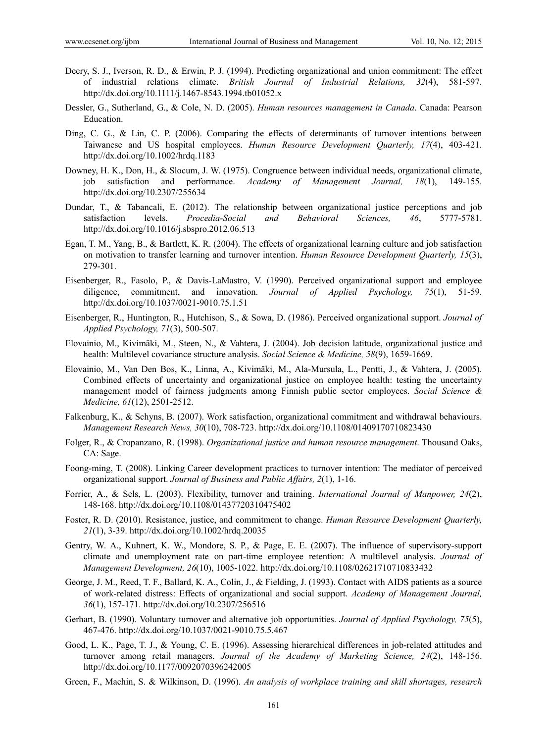- Deery, S. J., Iverson, R. D., & Erwin, P. J. (1994). Predicting organizational and union commitment: The effect of industrial relations climate. *British Journal of Industrial Relations, 32*(4), 581-597. http://dx.doi.org/10.1111/j.1467-8543.1994.tb01052.x
- Dessler, G., Sutherland, G., & Cole, N. D. (2005). *Human resources management in Canada*. Canada: Pearson Education.
- Ding, C. G., & Lin, C. P. (2006). Comparing the effects of determinants of turnover intentions between Taiwanese and US hospital employees. *Human Resource Development Quarterly, 17*(4), 403-421. http://dx.doi.org/10.1002/hrdq.1183
- Downey, H. K., Don, H., & Slocum, J. W. (1975). Congruence between individual needs, organizational climate, job satisfaction and performance. *Academy of Management Journal, 18*(1), 149-155. http://dx.doi.org/10.2307/255634
- Dundar, T., & Tabancali, E. (2012). The relationship between organizational justice perceptions and job satisfaction levels. *Procedia-Social and Behavioral Sciences, 46*, 5777-5781. http://dx.doi.org/10.1016/j.sbspro.2012.06.513
- Egan, T. M., Yang, B., & Bartlett, K. R. (2004). The effects of organizational learning culture and job satisfaction on motivation to transfer learning and turnover intention. *Human Resource Development Quarterly, 15*(3), 279-301.
- Eisenberger, R., Fasolo, P., & Davis-LaMastro, V. (1990). Perceived organizational support and employee diligence, commitment, and innovation. *Journal of Applied Psychology, 75*(1), 51-59. http://dx.doi.org/10.1037/0021-9010.75.1.51
- Eisenberger, R., Huntington, R., Hutchison, S., & Sowa, D. (1986). Perceived organizational support. *Journal of Applied Psychology, 71*(3), 500-507.
- Elovainio, M., Kivimäki, M., Steen, N., & Vahtera, J. (2004). Job decision latitude, organizational justice and health: Multilevel covariance structure analysis. *Social Science & Medicine, 58*(9), 1659-1669.
- Elovainio, M., Van Den Bos, K., Linna, A., Kivimäki, M., Ala-Mursula, L., Pentti, J., & Vahtera, J. (2005). Combined effects of uncertainty and organizational justice on employee health: testing the uncertainty management model of fairness judgments among Finnish public sector employees. *Social Science & Medicine, 61*(12), 2501-2512.
- Falkenburg, K., & Schyns, B. (2007). Work satisfaction, organizational commitment and withdrawal behaviours. *Management Research News, 30*(10), 708-723. http://dx.doi.org/10.1108/01409170710823430
- Folger, R., & Cropanzano, R. (1998). *Organizational justice and human resource management*. Thousand Oaks, CA: Sage.
- Foong-ming, T. (2008). Linking Career development practices to turnover intention: The mediator of perceived organizational support. *Journal of Business and Public Affairs, 2*(1), 1-16.
- Forrier, A., & Sels, L. (2003). Flexibility, turnover and training. *International Journal of Manpower, 24*(2), 148-168. http://dx.doi.org/10.1108/01437720310475402
- Foster, R. D. (2010). Resistance, justice, and commitment to change. *Human Resource Development Quarterly, 21*(1), 3-39. http://dx.doi.org/10.1002/hrdq.20035
- Gentry, W. A., Kuhnert, K. W., Mondore, S. P., & Page, E. E. (2007). The influence of supervisory-support climate and unemployment rate on part-time employee retention: A multilevel analysis. *Journal of Management Development, 26*(10), 1005-1022. http://dx.doi.org/10.1108/02621710710833432
- George, J. M., Reed, T. F., Ballard, K. A., Colin, J., & Fielding, J. (1993). Contact with AIDS patients as a source of work-related distress: Effects of organizational and social support. *Academy of Management Journal, 36*(1), 157-171. http://dx.doi.org/10.2307/256516
- Gerhart, B. (1990). Voluntary turnover and alternative job opportunities. *Journal of Applied Psychology, 75*(5), 467-476. http://dx.doi.org/10.1037/0021-9010.75.5.467
- Good, L. K., Page, T. J., & Young, C. E. (1996). Assessing hierarchical differences in job-related attitudes and turnover among retail managers. *Journal of the Academy of Marketing Science, 24*(2), 148-156. http://dx.doi.org/10.1177/0092070396242005
- Green, F., Machin, S. & Wilkinson, D. (1996). *An analysis of workplace training and skill shortages, research*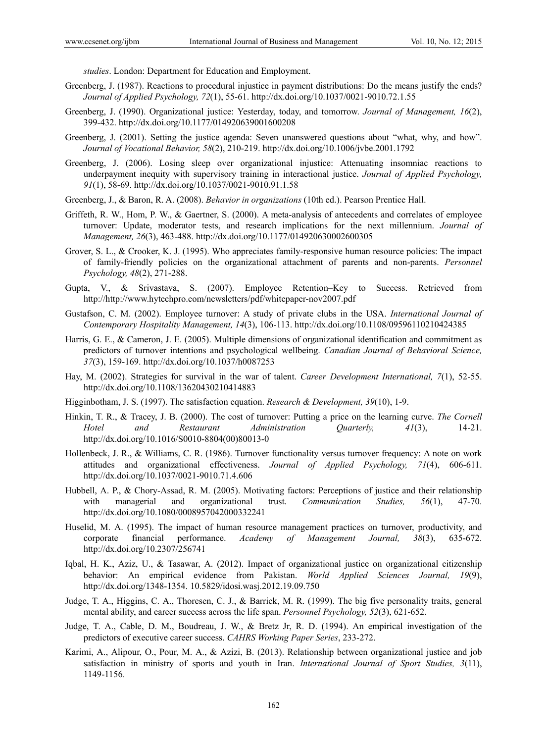*studies*. London: Department for Education and Employment.

- Greenberg, J. (1987). Reactions to procedural injustice in payment distributions: Do the means justify the ends? *Journal of Applied Psychology, 72*(1), 55-61. http://dx.doi.org/10.1037/0021-9010.72.1.55
- Greenberg, J. (1990). Organizational justice: Yesterday, today, and tomorrow. *Journal of Management, 16*(2), 399-432. http://dx.doi.org/10.1177/014920639001600208
- Greenberg, J. (2001). Setting the justice agenda: Seven unanswered questions about "what, why, and how". *Journal of Vocational Behavior, 58*(2), 210-219. http://dx.doi.org/10.1006/jvbe.2001.1792
- Greenberg, J. (2006). Losing sleep over organizational injustice: Attenuating insomniac reactions to underpayment inequity with supervisory training in interactional justice. *Journal of Applied Psychology, 91*(1), 58-69. http://dx.doi.org/10.1037/0021-9010.91.1.58
- Greenberg, J., & Baron, R. A. (2008). *Behavior in organizations* (10th ed.). Pearson Prentice Hall.
- Griffeth, R. W., Hom, P. W., & Gaertner, S. (2000). A meta-analysis of antecedents and correlates of employee turnover: Update, moderator tests, and research implications for the next millennium. *Journal of Management, 26*(3), 463-488. http://dx.doi.org/10.1177/014920630002600305
- Grover, S. L., & Crooker, K. J. (1995). Who appreciates family-responsive human resource policies: The impact of family-friendly policies on the organizational attachment of parents and non-parents. *Personnel Psychology, 48*(2), 271-288.
- Gupta, V., & Srivastava, S. (2007). Employee Retention–Key to Success. Retrieved from http://http://www.hytechpro.com/newsletters/pdf/whitepaper-nov2007.pdf
- Gustafson, C. M. (2002). Employee turnover: A study of private clubs in the USA. *International Journal of Contemporary Hospitality Management, 14*(3), 106-113. http://dx.doi.org/10.1108/09596110210424385
- Harris, G. E., & Cameron, J. E. (2005). Multiple dimensions of organizational identification and commitment as predictors of turnover intentions and psychological wellbeing. *Canadian Journal of Behavioral Science, 37*(3), 159-169. http://dx.doi.org/10.1037/h0087253
- Hay, M. (2002). Strategies for survival in the war of talent. *Career Development International, 7*(1), 52-55. http://dx.doi.org/10.1108/13620430210414883
- Higginbotham, J. S. (1997). The satisfaction equation. *Research & Development, 39*(10), 1-9.
- Hinkin, T. R., & Tracey, J. B. (2000). The cost of turnover: Putting a price on the learning curve. *The Cornell Hotel and Restaurant Administration Quarterly, 41*(3), 14-21. http://dx.doi.org/10.1016/S0010-8804(00)80013-0
- Hollenbeck, J. R., & Williams, C. R. (1986). Turnover functionality versus turnover frequency: A note on work attitudes and organizational effectiveness. *Journal of Applied Psychology, 71*(4), 606-611. http://dx.doi.org/10.1037/0021-9010.71.4.606
- Hubbell, A. P., & Chory-Assad, R. M. (2005). Motivating factors: Perceptions of justice and their relationship with managerial and organizational trust. *Communication Studies, 56*(1), 47-70. http://dx.doi.org/10.1080/0008957042000332241
- Huselid, M. A. (1995). The impact of human resource management practices on turnover, productivity, and corporate financial performance. *Academy of Management Journal, 38*(3), 635-672. http://dx.doi.org/10.2307/256741
- Iqbal, H. K., Aziz, U., & Tasawar, A. (2012). Impact of organizational justice on organizational citizenship behavior: An empirical evidence from Pakistan. *World Applied Sciences Journal, 19*(9), http://dx.doi.org/1348-1354. 10.5829/idosi.wasj.2012.19.09.750
- Judge, T. A., Higgins, C. A., Thoresen, C. J., & Barrick, M. R. (1999). The big five personality traits, general mental ability, and career success across the life span. *Personnel Psychology, 52*(3), 621-652.
- Judge, T. A., Cable, D. M., Boudreau, J. W., & Bretz Jr, R. D. (1994). An empirical investigation of the predictors of executive career success. *CAHRS Working Paper Series*, 233-272.
- Karimi, A., Alipour, O., Pour, M. A., & Azizi, B. (2013). Relationship between organizational justice and job satisfaction in ministry of sports and youth in Iran. *International Journal of Sport Studies, 3*(11), 1149-1156.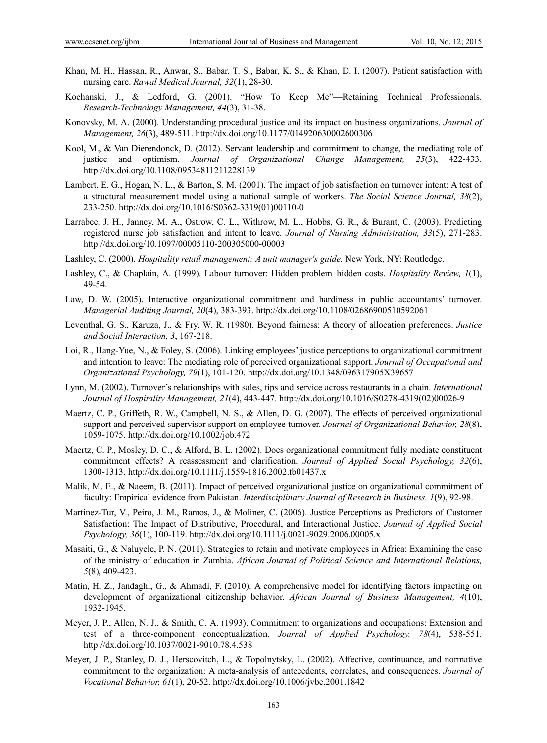- Khan, M. H., Hassan, R., Anwar, S., Babar, T. S., Babar, K. S., & Khan, D. I. (2007). Patient satisfaction with nursing care. *Rawal Medical Journal, 32*(1), 28-30.
- Kochanski, J., & Ledford, G. (2001). "How To Keep Me"—Retaining Technical Professionals. *Research-Technology Management, 44*(3), 31-38.
- Konovsky, M. A. (2000). Understanding procedural justice and its impact on business organizations. *Journal of Management, 26*(3), 489-511. http://dx.doi.org/10.1177/014920630002600306
- Kool, M., & Van Dierendonck, D. (2012). Servant leadership and commitment to change, the mediating role of justice and optimism. *Journal of Organizational Change Management, 25*(3), 422-433. http://dx.doi.org/10.1108/09534811211228139
- Lambert, E. G., Hogan, N. L., & Barton, S. M. (2001). The impact of job satisfaction on turnover intent: A test of a structural measurement model using a national sample of workers. *The Social Science Journal, 38*(2), 233-250. http://dx.doi.org/10.1016/S0362-3319(01)00110-0
- Larrabee, J. H., Janney, M. A., Ostrow, C. L., Withrow, M. L., Hobbs, G. R., & Burant, C. (2003). Predicting registered nurse job satisfaction and intent to leave. *Journal of Nursing Administration, 33*(5), 271-283. http://dx.doi.org/10.1097/00005110-200305000-00003
- Lashley, C. (2000). *Hospitality retail management: A unit manager's guide.* New York, NY: Routledge.
- Lashley, C., & Chaplain, A. (1999). Labour turnover: Hidden problem–hidden costs. *Hospitality Review, 1*(1), 49-54.
- Law, D. W. (2005). Interactive organizational commitment and hardiness in public accountants' turnover. *Managerial Auditing Journal, 20*(4), 383-393. http://dx.doi.org/10.1108/02686900510592061
- Leventhal, G. S., Karuza, J., & Fry, W. R. (1980). Beyond fairness: A theory of allocation preferences. *Justice and Social Interaction, 3*, 167-218.
- Loi, R., Hang-Yue, N., & Foley, S. (2006). Linking employees' justice perceptions to organizational commitment and intention to leave: The mediating role of perceived organizational support. *Journal of Occupational and Organizational Psychology, 79*(1), 101-120. http://dx.doi.org/10.1348/096317905X39657
- Lynn, M. (2002). Turnover's relationships with sales, tips and service across restaurants in a chain. *International Journal of Hospitality Management, 21*(4), 443-447. http://dx.doi.org/10.1016/S0278-4319(02)00026-9
- Maertz, C. P., Griffeth, R. W., Campbell, N. S., & Allen, D. G. (2007). The effects of perceived organizational support and perceived supervisor support on employee turnover. *Journal of Organizational Behavior, 28*(8), 1059-1075. http://dx.doi.org/10.1002/job.472
- Maertz, C. P., Mosley, D. C., & Alford, B. L. (2002). Does organizational commitment fully mediate constituent commitment effects? A reassessment and clarification. *Journal of Applied Social Psychology, 32*(6), 1300-1313. http://dx.doi.org/10.1111/j.1559-1816.2002.tb01437.x
- Malik, M. E., & Naeem, B. (2011). Impact of perceived organizational justice on organizational commitment of faculty: Empirical evidence from Pakistan. *Interdisciplinary Journal of Research in Business, 1*(9), 92-98.
- Martinez-Tur, V., Peiro, J. M., Ramos, J., & Moliner, C. (2006). Justice Perceptions as Predictors of Customer Satisfaction: The Impact of Distributive, Procedural, and Interactional Justice. *Journal of Applied Social Psychology, 36*(1), 100-119. http://dx.doi.org/10.1111/j.0021-9029.2006.00005.x
- Masaiti, G., & Naluyele, P. N. (2011). Strategies to retain and motivate employees in Africa: Examining the case of the ministry of education in Zambia. *African Journal of Political Science and International Relations, 5*(8), 409-423.
- Matin, H. Z., Jandaghi, G., & Ahmadi, F. (2010). A comprehensive model for identifying factors impacting on development of organizational citizenship behavior. *African Journal of Business Management, 4*(10), 1932-1945.
- Meyer, J. P., Allen, N. J., & Smith, C. A. (1993). Commitment to organizations and occupations: Extension and test of a three-component conceptualization. *Journal of Applied Psychology, 78*(4), 538-551. http://dx.doi.org/10.1037/0021-9010.78.4.538
- Meyer, J. P., Stanley, D. J., Herscovitch, L., & Topolnytsky, L. (2002). Affective, continuance, and normative commitment to the organization: A meta-analysis of antecedents, correlates, and consequences. *Journal of Vocational Behavior, 61*(1), 20-52. http://dx.doi.org/10.1006/jvbe.2001.1842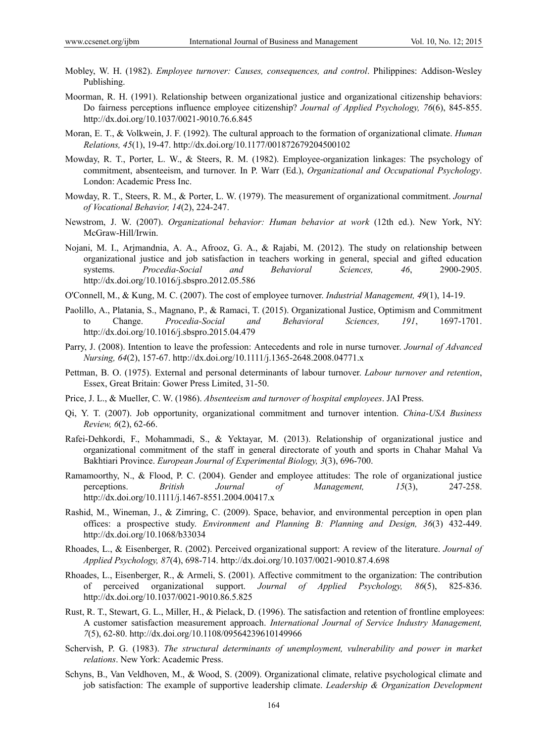- Mobley, W. H. (1982). *Employee turnover: Causes, consequences, and control*. Philippines: Addison-Wesley Publishing.
- Moorman, R. H. (1991). Relationship between organizational justice and organizational citizenship behaviors: Do fairness perceptions influence employee citizenship? *Journal of Applied Psychology, 76*(6), 845-855. http://dx.doi.org/10.1037/0021-9010.76.6.845
- Moran, E. T., & Volkwein, J. F. (1992). The cultural approach to the formation of organizational climate. *Human Relations, 45*(1), 19-47. http://dx.doi.org/10.1177/001872679204500102
- Mowday, R. T., Porter, L. W., & Steers, R. M. (1982). Employee-organization linkages: The psychology of commitment, absenteeism, and turnover. In P. Warr (Ed.), *Organizational and Occupational Psychology*. London: Academic Press Inc.
- Mowday, R. T., Steers, R. M., & Porter, L. W. (1979). The measurement of organizational commitment. *Journal of Vocational Behavior, 14*(2), 224-247.
- Newstrom, J. W. (2007). *Organizational behavior: Human behavior at work* (12th ed.). New York, NY: McGraw-Hill/Irwin.
- Nojani, M. I., Arjmandnia, A. A., Afrooz, G. A., & Rajabi, M. (2012). The study on relationship between organizational justice and job satisfaction in teachers working in general, special and gifted education systems. *Procedia-Social and Behavioral Sciences, 46*, 2900-2905. http://dx.doi.org/10.1016/j.sbspro.2012.05.586
- O'Connell, M., & Kung, M. C. (2007). The cost of employee turnover. *Industrial Management, 49*(1), 14-19.
- Paolillo, A., Platania, S., Magnano, P., & Ramaci, T. (2015). Organizational Justice, Optimism and Commitment to Change. *Procedia-Social and Behavioral Sciences, 191*, 1697-1701. http://dx.doi.org/10.1016/j.sbspro.2015.04.479
- Parry, J. (2008). Intention to leave the profession: Antecedents and role in nurse turnover. *Journal of Advanced Nursing, 64*(2), 157-67. http://dx.doi.org/10.1111/j.1365-2648.2008.04771.x
- Pettman, B. O. (1975). External and personal determinants of labour turnover. *Labour turnover and retention*, Essex, Great Britain: Gower Press Limited, 31-50.
- Price, J. L., & Mueller, C. W. (1986). *Absenteeism and turnover of hospital employees*. JAI Press.
- Qi, Y. T. (2007). Job opportunity, organizational commitment and turnover intention. *China-USA Business Review, 6*(2), 62-66.
- Rafei-Dehkordi, F., Mohammadi, S., & Yektayar, M. (2013). Relationship of organizational justice and organizational commitment of the staff in general directorate of youth and sports in Chahar Mahal Va Bakhtiari Province. *European Journal of Experimental Biology, 3*(3), 696-700.
- Ramamoorthy, N., & Flood, P. C. (2004). Gender and employee attitudes: The role of organizational justice perceptions. *British Journal of Management, 15*(3), 247-258. http://dx.doi.org/10.1111/j.1467-8551.2004.00417.x
- Rashid, M., Wineman, J., & Zimring, C. (2009). Space, behavior, and environmental perception in open plan offices: a prospective study. *Environment and Planning B: Planning and Design, 36*(3) 432-449. http://dx.doi.org/10.1068/b33034
- Rhoades, L., & Eisenberger, R. (2002). Perceived organizational support: A review of the literature. *Journal of Applied Psychology, 87*(4), 698-714. http://dx.doi.org/10.1037/0021-9010.87.4.698
- Rhoades, L., Eisenberger, R., & Armeli, S. (2001). Affective commitment to the organization: The contribution of perceived organizational support. *Journal of Applied Psychology, 86*(5), 825-836. http://dx.doi.org/10.1037/0021-9010.86.5.825
- Rust, R. T., Stewart, G. L., Miller, H., & Pielack, D. (1996). The satisfaction and retention of frontline employees: A customer satisfaction measurement approach. *International Journal of Service Industry Management, 7*(5), 62-80. http://dx.doi.org/10.1108/09564239610149966
- Schervish, P. G. (1983). *The structural determinants of unemployment, vulnerability and power in market relations*. New York: Academic Press.
- Schyns, B., Van Veldhoven, M., & Wood, S. (2009). Organizational climate, relative psychological climate and job satisfaction: The example of supportive leadership climate. *Leadership & Organization Development*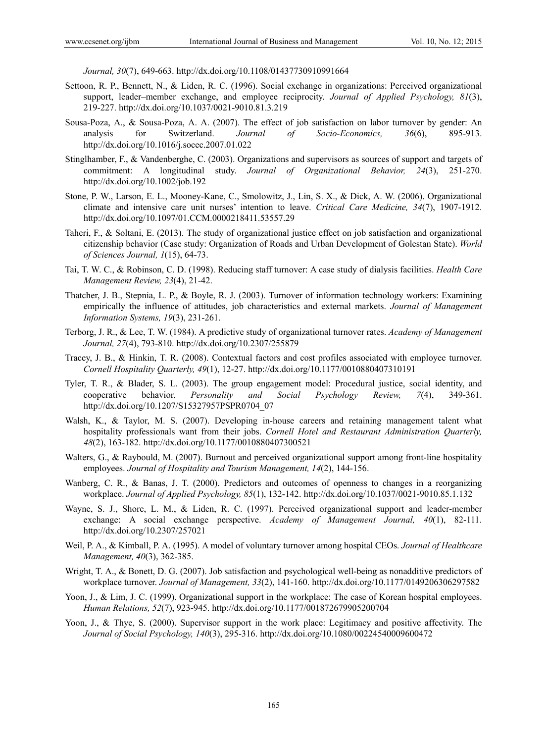*Journal, 30*(7), 649-663. http://dx.doi.org/10.1108/01437730910991664

- Settoon, R. P., Bennett, N., & Liden, R. C. (1996). Social exchange in organizations: Perceived organizational support, leader–member exchange, and employee reciprocity. *Journal of Applied Psychology, 81*(3), 219-227. http://dx.doi.org/10.1037/0021-9010.81.3.219
- Sousa-Poza, A., & Sousa-Poza, A. A. (2007). The effect of job satisfaction on labor turnover by gender: An analysis for Switzerland. *Journal of Socio-Economics, 36*(6), 895-913. http://dx.doi.org/10.1016/j.socec.2007.01.022
- Stinglhamber, F., & Vandenberghe, C. (2003). Organizations and supervisors as sources of support and targets of commitment: A longitudinal study. *Journal of Organizational Behavior, 24*(3), 251-270. http://dx.doi.org/10.1002/job.192
- Stone, P. W., Larson, E. L., Mooney-Kane, C., Smolowitz, J., Lin, S. X., & Dick, A. W. (2006). Organizational climate and intensive care unit nurses' intention to leave. *Critical Care Medicine, 34*(7), 1907-1912. http://dx.doi.org/10.1097/01.CCM.0000218411.53557.29
- Taheri, F., & Soltani, E. (2013). The study of organizational justice effect on job satisfaction and organizational citizenship behavior (Case study: Organization of Roads and Urban Development of Golestan State). *World of Sciences Journal, 1*(15), 64-73.
- Tai, T. W. C., & Robinson, C. D. (1998). Reducing staff turnover: A case study of dialysis facilities. *Health Care Management Review, 23*(4), 21-42.
- Thatcher, J. B., Stepnia, L. P., & Boyle, R. J. (2003). Turnover of information technology workers: Examining empirically the influence of attitudes, job characteristics and external markets. *Journal of Management Information Systems, 19*(3), 231-261.
- Terborg, J. R., & Lee, T. W. (1984). A predictive study of organizational turnover rates. *Academy of Management Journal, 27*(4), 793-810. http://dx.doi.org/10.2307/255879
- Tracey, J. B., & Hinkin, T. R. (2008). Contextual factors and cost profiles associated with employee turnover. *Cornell Hospitality Quarterly, 49*(1), 12-27. http://dx.doi.org/10.1177/0010880407310191
- Tyler, T. R., & Blader, S. L. (2003). The group engagement model: Procedural justice, social identity, and cooperative behavior. *Personality and Social Psychology Review, 7*(4), 349-361. http://dx.doi.org/10.1207/S15327957PSPR0704\_07
- Walsh, K., & Taylor, M. S. (2007). Developing in-house careers and retaining management talent what hospitality professionals want from their jobs. *Cornell Hotel and Restaurant Administration Quarterly, 48*(2), 163-182. http://dx.doi.org/10.1177/0010880407300521
- Walters, G., & Raybould, M. (2007). Burnout and perceived organizational support among front-line hospitality employees. *Journal of Hospitality and Tourism Management, 14*(2), 144-156.
- Wanberg, C. R., & Banas, J. T. (2000). Predictors and outcomes of openness to changes in a reorganizing workplace. *Journal of Applied Psychology, 85*(1), 132-142. http://dx.doi.org/10.1037/0021-9010.85.1.132
- Wayne, S. J., Shore, L. M., & Liden, R. C. (1997). Perceived organizational support and leader-member exchange: A social exchange perspective. *Academy of Management Journal, 40*(1), 82-111. http://dx.doi.org/10.2307/257021
- Weil, P. A., & Kimball, P. A. (1995). A model of voluntary turnover among hospital CEOs. *Journal of Healthcare Management, 40*(3), 362-385.
- Wright, T. A., & Bonett, D. G. (2007). Job satisfaction and psychological well-being as nonadditive predictors of workplace turnover. *Journal of Management, 33*(2), 141-160. http://dx.doi.org/10.1177/0149206306297582
- Yoon, J., & Lim, J. C. (1999). Organizational support in the workplace: The case of Korean hospital employees. *Human Relations, 52*(7), 923-945. http://dx.doi.org/10.1177/001872679905200704
- Yoon, J., & Thye, S. (2000). Supervisor support in the work place: Legitimacy and positive affectivity. The *Journal of Social Psychology, 140*(3), 295-316. http://dx.doi.org/10.1080/00224540009600472